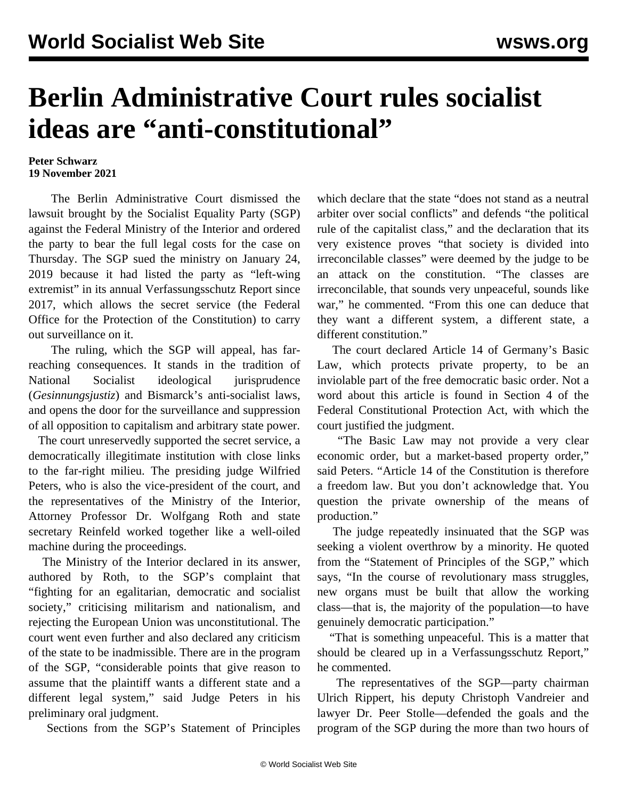## **Berlin Administrative Court rules socialist ideas are "anti-constitutional"**

## **Peter Schwarz 19 November 2021**

 The Berlin Administrative Court dismissed the lawsuit brought by the Socialist Equality Party (SGP) against the Federal Ministry of the Interior and ordered the party to bear the full legal costs for the case on Thursday. The SGP sued the ministry on January 24, 2019 because it had listed the party as "left-wing extremist" in its annual Verfassungsschutz Report since 2017, which allows the secret service (the Federal Office for the Protection of the Constitution) to carry out surveillance on it.

 The ruling, which the SGP will appeal, has farreaching consequences. It stands in the tradition of National Socialist ideological jurisprudence (*Gesinnungsjustiz*) and Bismarck's anti-socialist laws, and opens the door for the surveillance and suppression of all opposition to capitalism and arbitrary state power.

 The court unreservedly supported the secret service, a democratically illegitimate institution with close links to the far-right milieu. The presiding judge Wilfried Peters, who is also the vice-president of the court, and the representatives of the Ministry of the Interior, Attorney Professor Dr. Wolfgang Roth and state secretary Reinfeld worked together like a well-oiled machine during the proceedings.

 The Ministry of the Interior declared in its answer, authored by Roth, to the SGP's complaint that "fighting for an egalitarian, democratic and socialist society," criticising militarism and nationalism, and rejecting the European Union was unconstitutional. The court went even further and also declared any criticism of the state to be inadmissible. There are in the program of the SGP, "considerable points that give reason to assume that the plaintiff wants a different state and a different legal system," said Judge Peters in his preliminary oral judgment.

Sections from the SGP's Statement of Principles

which declare that the state "does not stand as a neutral arbiter over social conflicts" and defends "the political rule of the capitalist class," and the declaration that its very existence proves "that society is divided into irreconcilable classes" were deemed by the judge to be an attack on the constitution. "The classes are irreconcilable, that sounds very unpeaceful, sounds like war," he commented. "From this one can deduce that they want a different system, a different state, a different constitution."

 The court declared Article 14 of Germany's Basic Law, which protects private property, to be an inviolable part of the free democratic basic order. Not a word about this article is found in Section 4 of the Federal Constitutional Protection Act, with which the court justified the judgment.

 "The Basic Law may not provide a very clear economic order, but a market-based property order," said Peters. "Article 14 of the Constitution is therefore a freedom law. But you don't acknowledge that. You question the private ownership of the means of production."

 The judge repeatedly insinuated that the SGP was seeking a violent overthrow by a minority. He quoted from the "Statement of Principles of the SGP," which says, "In the course of revolutionary mass struggles, new organs must be built that allow the working class—that is, the majority of the population—to have genuinely democratic participation."

 "That is something unpeaceful. This is a matter that should be cleared up in a Verfassungsschutz Report," he commented.

 The representatives of the SGP—party chairman Ulrich Rippert, his deputy Christoph Vandreier and lawyer Dr. Peer Stolle—defended the goals and the program of the SGP during the more than two hours of